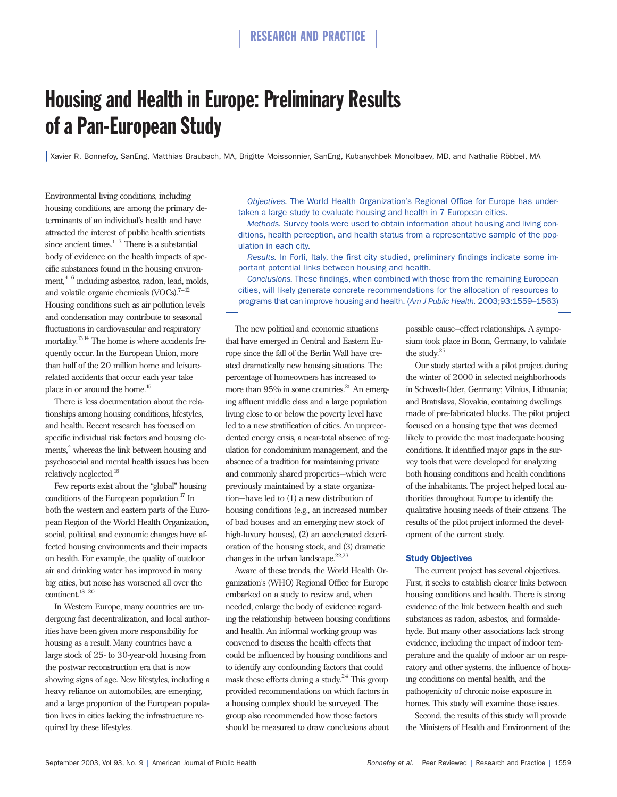# Housing and Health in Europe: Preliminary Results of a Pan-European Study

| Xavier R. Bonnefoy, SanEng, Matthias Braubach, MA, Brigitte Moissonnier, SanEng, Kubanychbek Monolbaev, MD, and Nathalie Röbbel, MA

Environmental living conditions, including housing conditions, are among the primary determinants of an individual's health and have attracted the interest of public health scientists since ancient times. $1-3$  There is a substantial body of evidence on the health impacts of specific substances found in the housing environment,<sup>4-6</sup> including asbestos, radon, lead, molds, and volatile organic chemicals  $(VOCs)$ .<sup>7-12</sup> Housing conditions such as air pollution levels and condensation may contribute to seasonal fluctuations in cardiovascular and respiratory mortality.<sup>13,14</sup> The home is where accidents frequently occur. In the European Union, more than half of the 20 million home and leisurerelated accidents that occur each year take place in or around the home.15

There is less documentation about the relationships among housing conditions, lifestyles, and health. Recent research has focused on specific individual risk factors and housing elements,<sup>4</sup> whereas the link between housing and psychosocial and mental health issues has been relatively neglected.<sup>16</sup>

Few reports exist about the "global" housing conditions of the European population.<sup>17</sup> In both the western and eastern parts of the European Region of the World Health Organization, social, political, and economic changes have affected housing environments and their impacts on health. For example, the quality of outdoor air and drinking water has improved in many big cities, but noise has worsened all over the continent.18–20

In Western Europe, many countries are undergoing fast decentralization, and local authorities have been given more responsibility for housing as a result. Many countries have a large stock of 25- to 30-year-old housing from the postwar reconstruction era that is now showing signs of age. New lifestyles, including a heavy reliance on automobiles, are emerging, and a large proportion of the European population lives in cities lacking the infrastructure required by these lifestyles.

*Objectives.* The World Health Organization's Regional Office for Europe has undertaken a large study to evaluate housing and health in 7 European cities.

*Methods.* Survey tools were used to obtain information about housing and living conditions, health perception, and health status from a representative sample of the population in each city.

*Results.* In Forli, Italy, the first city studied, preliminary findings indicate some important potential links between housing and health.

*Conclusions.* These findings, when combined with those from the remaining European cities, will likely generate concrete recommendations for the allocation of resources to programs that can improve housing and health. (*Am J Public Health.* 2003;93:1559–1563)

The new political and economic situations that have emerged in Central and Eastern Europe since the fall of the Berlin Wall have created dramatically new housing situations. The percentage of homeowners has increased to more than  $95\%$  in some countries.<sup>21</sup> An emerging affluent middle class and a large population living close to or below the poverty level have led to a new stratification of cities. An unprecedented energy crisis, a near-total absence of regulation for condominium management, and the absence of a tradition for maintaining private and commonly shared properties—which were previously maintained by a state organization—have led to (1) a new distribution of housing conditions (e.g., an increased number of bad houses and an emerging new stock of high-luxury houses), (2) an accelerated deterioration of the housing stock, and (3) dramatic changes in the urban landscape.<sup>22,23</sup>

Aware of these trends, the World Health Organization's (WHO) Regional Office for Europe embarked on a study to review and, when needed, enlarge the body of evidence regarding the relationship between housing conditions and health. An informal working group was convened to discuss the health effects that could be influenced by housing conditions and to identify any confounding factors that could mask these effects during a study.<sup>24</sup> This group provided recommendations on which factors in a housing complex should be surveyed. The group also recommended how those factors should be measured to draw conclusions about

possible cause–effect relationships. A symposium took place in Bonn, Germany, to validate the study.25

Our study started with a pilot project during the winter of 2000 in selected neighborhoods in Schwedt-Oder, Germany; Vilnius, Lithuania; and Bratislava, Slovakia, containing dwellings made of pre-fabricated blocks. The pilot project focused on a housing type that was deemed likely to provide the most inadequate housing conditions. It identified major gaps in the survey tools that were developed for analyzing both housing conditions and health conditions of the inhabitants. The project helped local authorities throughout Europe to identify the qualitative housing needs of their citizens. The results of the pilot project informed the development of the current study.

# Study Objectives

The current project has several objectives. First, it seeks to establish clearer links between housing conditions and health. There is strong evidence of the link between health and such substances as radon, asbestos, and formaldehyde. But many other associations lack strong evidence, including the impact of indoor temperature and the quality of indoor air on respiratory and other systems, the influence of housing conditions on mental health, and the pathogenicity of chronic noise exposure in homes. This study will examine those issues.

Second, the results of this study will provide the Ministers of Health and Environment of the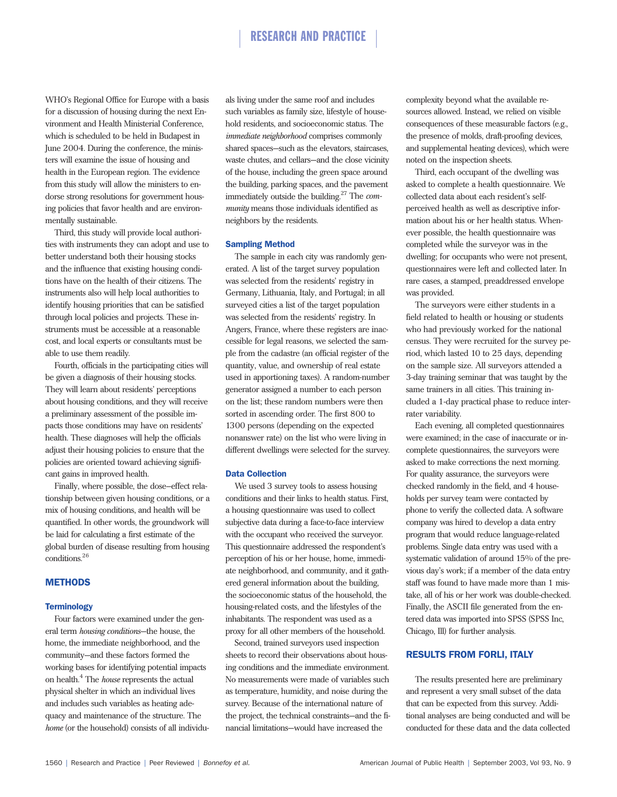WHO's Regional Office for Europe with a basis for a discussion of housing during the next Environment and Health Ministerial Conference, which is scheduled to be held in Budapest in June 2004. During the conference, the ministers will examine the issue of housing and health in the European region. The evidence from this study will allow the ministers to endorse strong resolutions for government housing policies that favor health and are environmentally sustainable.

Third, this study will provide local authorities with instruments they can adopt and use to better understand both their housing stocks and the influence that existing housing conditions have on the health of their citizens. The instruments also will help local authorities to identify housing priorities that can be satisfied through local policies and projects. These instruments must be accessible at a reasonable cost, and local experts or consultants must be able to use them readily.

Fourth, officials in the participating cities will be given a diagnosis of their housing stocks. They will learn about residents' perceptions about housing conditions, and they will receive a preliminary assessment of the possible impacts those conditions may have on residents' health. These diagnoses will help the officials adjust their housing policies to ensure that the policies are oriented toward achieving significant gains in improved health.

Finally, where possible, the dose–effect relationship between given housing conditions, or a mix of housing conditions, and health will be quantified. In other words, the groundwork will be laid for calculating a first estimate of the global burden of disease resulting from housing conditions.26

# **METHODS**

### **Terminology**

Four factors were examined under the general term *housing conditions*—the house, the home, the immediate neighborhood, and the community—and these factors formed the working bases for identifying potential impacts on health.4 The *house* represents the actual physical shelter in which an individual lives and includes such variables as heating adequacy and maintenance of the structure. The *home* (or the household) consists of all individu-

als living under the same roof and includes such variables as family size, lifestyle of household residents, and socioeconomic status. The *immediate neighborhood* comprises commonly shared spaces—such as the elevators, staircases, waste chutes, and cellars—and the close vicinity of the house, including the green space around the building, parking spaces, and the pavement immediately outside the building.27 The *community* means those individuals identified as neighbors by the residents.

# Sampling Method

The sample in each city was randomly generated. A list of the target survey population was selected from the residents' registry in Germany, Lithuania, Italy, and Portugal; in all surveyed cities a list of the target population was selected from the residents' registry. In Angers, France, where these registers are inaccessible for legal reasons, we selected the sample from the cadastre (an official register of the quantity, value, and ownership of real estate used in apportioning taxes). A random-number generator assigned a number to each person on the list; these random numbers were then sorted in ascending order. The first 800 to 1300 persons (depending on the expected nonanswer rate) on the list who were living in different dwellings were selected for the survey.

#### Data Collection

We used 3 survey tools to assess housing conditions and their links to health status. First, a housing questionnaire was used to collect subjective data during a face-to-face interview with the occupant who received the surveyor. This questionnaire addressed the respondent's perception of his or her house, home, immediate neighborhood, and community, and it gathered general information about the building, the socioeconomic status of the household, the housing-related costs, and the lifestyles of the inhabitants. The respondent was used as a proxy for all other members of the household.

Second, trained surveyors used inspection sheets to record their observations about housing conditions and the immediate environment. No measurements were made of variables such as temperature, humidity, and noise during the survey. Because of the international nature of the project, the technical constraints—and the financial limitations—would have increased the

complexity beyond what the available resources allowed. Instead, we relied on visible consequences of these measurable factors (e.g., the presence of molds, draft-proofing devices, and supplemental heating devices), which were noted on the inspection sheets.

Third, each occupant of the dwelling was asked to complete a health questionnaire. We collected data about each resident's selfperceived health as well as descriptive information about his or her health status. Whenever possible, the health questionnaire was completed while the surveyor was in the dwelling; for occupants who were not present, questionnaires were left and collected later. In rare cases, a stamped, preaddressed envelope was provided.

The surveyors were either students in a field related to health or housing or students who had previously worked for the national census. They were recruited for the survey period, which lasted 10 to 25 days, depending on the sample size. All surveyors attended a 3-day training seminar that was taught by the same trainers in all cities. This training included a 1-day practical phase to reduce interrater variability.

Each evening, all completed questionnaires were examined; in the case of inaccurate or incomplete questionnaires, the surveyors were asked to make corrections the next morning. For quality assurance, the surveyors were checked randomly in the field, and 4 households per survey team were contacted by phone to verify the collected data. A software company was hired to develop a data entry program that would reduce language-related problems. Single data entry was used with a systematic validation of around 15% of the previous day's work; if a member of the data entry staff was found to have made more than 1 mistake, all of his or her work was double-checked. Finally, the ASCII file generated from the entered data was imported into SPSS (SPSS Inc, Chicago, Ill) for further analysis.

# RESULTS FROM FORLI, ITALY

The results presented here are preliminary and represent a very small subset of the data that can be expected from this survey. Additional analyses are being conducted and will be conducted for these data and the data collected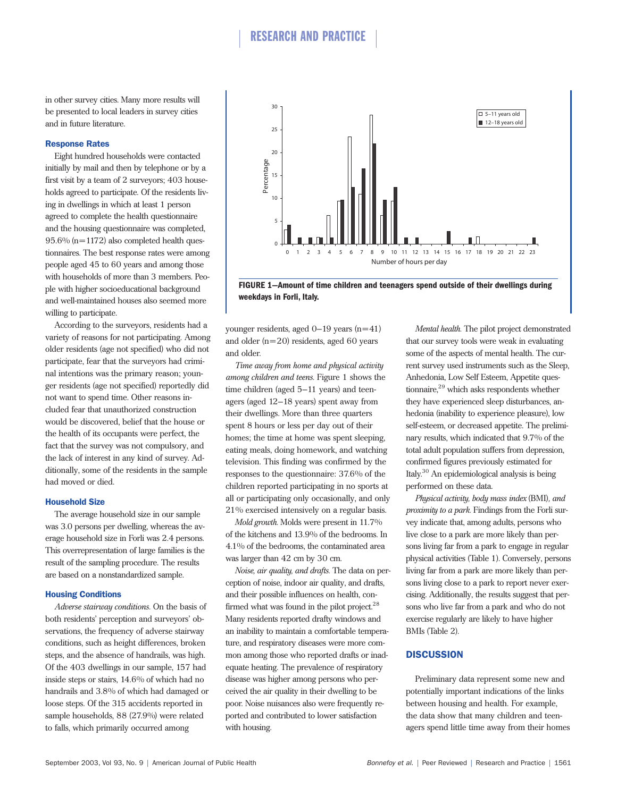in other survey cities. Many more results will be presented to local leaders in survey cities and in future literature.

# Response Rates

Eight hundred households were contacted initially by mail and then by telephone or by a first visit by a team of 2 surveyors; 403 households agreed to participate. Of the residents living in dwellings in which at least 1 person agreed to complete the health questionnaire and the housing questionnaire was completed,  $95.6\%$  (n=1172) also completed health questionnaires. The best response rates were among people aged 45 to 60 years and among those with households of more than 3 members. People with higher socioeducational background and well-maintained houses also seemed more willing to participate.

According to the surveyors, residents had a variety of reasons for not participating. Among older residents (age not specified) who did not participate, fear that the surveyors had criminal intentions was the primary reason; younger residents (age not specified) reportedly did not want to spend time. Other reasons included fear that unauthorized construction would be discovered, belief that the house or the health of its occupants were perfect, the fact that the survey was not compulsory, and the lack of interest in any kind of survey. Additionally, some of the residents in the sample had moved or died.

#### Household Size

The average household size in our sample was 3.0 persons per dwelling, whereas the average household size in Forli was 2.4 persons. This overrepresentation of large families is the result of the sampling procedure. The results are based on a nonstandardized sample.

#### Housing Conditions

*Adverse stairway conditions.* On the basis of both residents' perception and surveyors' observations, the frequency of adverse stairway conditions, such as height differences, broken steps, and the absence of handrails, was high. Of the 403 dwellings in our sample, 157 had inside steps or stairs, 14.6% of which had no handrails and 3.8% of which had damaged or loose steps. Of the 315 accidents reported in sample households, 88 (27.9%) were related to falls, which primarily occurred among



**FIGURE 1—Amount of time children and teenagers spend outside of their dwellings during weekdays in Forli, Italy.**

younger residents, aged  $0-19$  years  $(n=41)$ and older (n=20) residents, aged 60 years and older.

*Time away from home and physical activity among children and teens.* Figure 1 shows the time children (aged 5–11 years) and teenagers (aged 12–18 years) spent away from their dwellings. More than three quarters spent 8 hours or less per day out of their homes; the time at home was spent sleeping, eating meals, doing homework, and watching television. This finding was confirmed by the responses to the questionnaire: 37.6% of the children reported participating in no sports at all or participating only occasionally, and only 21% exercised intensively on a regular basis.

*Mold growth.* Molds were present in 11.7% of the kitchens and 13.9% of the bedrooms. In 4.1% of the bedrooms, the contaminated area was larger than 42 cm by 30 cm.

*Noise, air quality, and drafts.* The data on perception of noise, indoor air quality, and drafts, and their possible influences on health, confirmed what was found in the pilot project.<sup>28</sup> Many residents reported drafty windows and an inability to maintain a comfortable temperature, and respiratory diseases were more common among those who reported drafts or inadequate heating. The prevalence of respiratory disease was higher among persons who perceived the air quality in their dwelling to be poor. Noise nuisances also were frequently reported and contributed to lower satisfaction with housing.

*Mental health.* The pilot project demonstrated that our survey tools were weak in evaluating some of the aspects of mental health. The current survey used instruments such as the Sleep, Anhedonia, Low Self Esteem, Appetite questionnaire,<sup>29</sup> which asks respondents whether they have experienced sleep disturbances, anhedonia (inability to experience pleasure), low self-esteem, or decreased appetite. The preliminary results, which indicated that 9.7% of the total adult population suffers from depression, confirmed figures previously estimated for Italy.30 An epidemiological analysis is being performed on these data.

*Physical activity, body mass index* (BMI)*, and proximity to a park.* Findings from the Forli survey indicate that, among adults, persons who live close to a park are more likely than persons living far from a park to engage in regular physical activities (Table 1). Conversely, persons living far from a park are more likely than persons living close to a park to report never exercising. Additionally, the results suggest that persons who live far from a park and who do not exercise regularly are likely to have higher BMIs (Table 2).

### **DISCUSSION**

Preliminary data represent some new and potentially important indications of the links between housing and health. For example, the data show that many children and teenagers spend little time away from their homes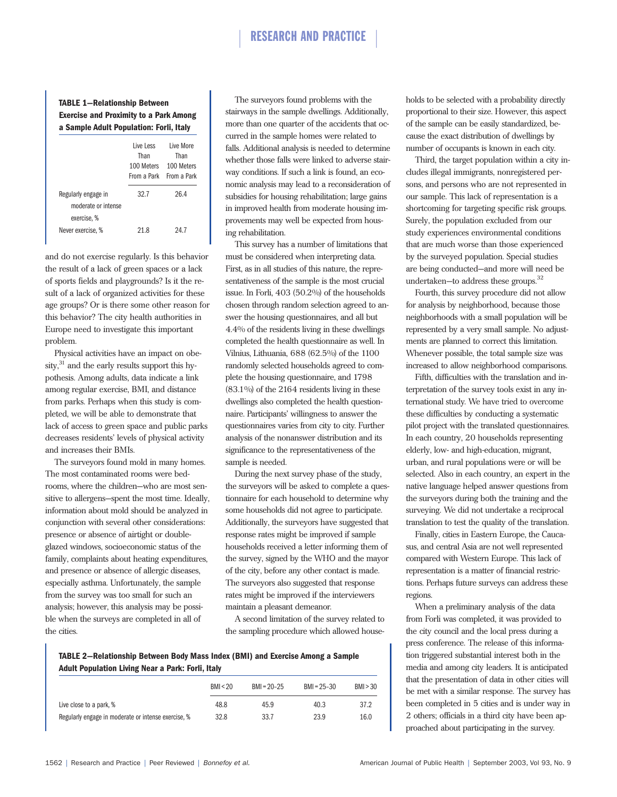# **TABLE 1—Relationship Between Exercise and Proximity to a Park Among a Sample Adult Population: Forli, Italy**

|                     | Live Less<br>Than<br>100 Meters<br>From a Park | Live More<br>Than<br>100 Meters<br>From a Park |
|---------------------|------------------------------------------------|------------------------------------------------|
| Regularly engage in | 32.7                                           | 26.4                                           |
| moderate or intense |                                                |                                                |
| exercise, %         |                                                |                                                |
| Never exercise, %   | 21.8                                           | 24.7                                           |

and do not exercise regularly. Is this behavior the result of a lack of green spaces or a lack of sports fields and playgrounds? Is it the result of a lack of organized activities for these age groups? Or is there some other reason for this behavior? The city health authorities in Europe need to investigate this important problem.

Physical activities have an impact on obesity, $31$  and the early results support this hypothesis. Among adults, data indicate a link among regular exercise, BMI, and distance from parks. Perhaps when this study is completed, we will be able to demonstrate that lack of access to green space and public parks decreases residents' levels of physical activity and increases their BMIs.

The surveyors found mold in many homes. The most contaminated rooms were bedrooms, where the children—who are most sensitive to allergens—spent the most time. Ideally, information about mold should be analyzed in conjunction with several other considerations: presence or absence of airtight or doubleglazed windows, socioeconomic status of the family, complaints about heating expenditures, and presence or absence of allergic diseases, especially asthma. Unfortunately, the sample from the survey was too small for such an analysis; however, this analysis may be possible when the surveys are completed in all of the cities.

The surveyors found problems with the stairways in the sample dwellings. Additionally, more than one quarter of the accidents that occurred in the sample homes were related to falls. Additional analysis is needed to determine whether those falls were linked to adverse stairway conditions. If such a link is found, an economic analysis may lead to a reconsideration of subsidies for housing rehabilitation; large gains in improved health from moderate housing improvements may well be expected from housing rehabilitation.

This survey has a number of limitations that must be considered when interpreting data. First, as in all studies of this nature, the representativeness of the sample is the most crucial issue. In Forli, 403 (50.2%) of the households chosen through random selection agreed to answer the housing questionnaires, and all but 4.4% of the residents living in these dwellings completed the health questionnaire as well. In Vilnius, Lithuania, 688 (62.5%) of the 1100 randomly selected households agreed to complete the housing questionnaire, and 1798  $(83.1\%)$  of the 2164 residents living in these dwellings also completed the health questionnaire. Participants' willingness to answer the questionnaires varies from city to city. Further analysis of the nonanswer distribution and its significance to the representativeness of the sample is needed.

During the next survey phase of the study, the surveyors will be asked to complete a questionnaire for each household to determine why some households did not agree to participate. Additionally, the surveyors have suggested that response rates might be improved if sample households received a letter informing them of the survey, signed by the WHO and the mayor of the city, before any other contact is made. The surveyors also suggested that response rates might be improved if the interviewers maintain a pleasant demeanor.

A second limitation of the survey related to the sampling procedure which allowed house-

**TABLE 2—Relationship Between Body Mass Index (BMI) and Exercise Among a Sample Adult Population Living Near a Park: Forli, Italy**

|                                                     | BMI < 20 | $BMI = 20-25$ | $BMI = 25-30$ | BM > 30 |
|-----------------------------------------------------|----------|---------------|---------------|---------|
| Live close to a park, %                             | 48.8     | 45.9          | 40.3          | 37.2    |
| Regularly engage in moderate or intense exercise, % | 32.8     | 33.7          | 23.9          | 16.0    |

holds to be selected with a probability directly proportional to their size. However, this aspect of the sample can be easily standardized, because the exact distribution of dwellings by number of occupants is known in each city.

Third, the target population within a city includes illegal immigrants, nonregistered persons, and persons who are not represented in our sample. This lack of representation is a shortcoming for targeting specific risk groups. Surely, the population excluded from our study experiences environmental conditions that are much worse than those experienced by the surveyed population. Special studies are being conducted—and more will need be undertaken—to address these groups.32

Fourth, this survey procedure did not allow for analysis by neighborhood, because those neighborhoods with a small population will be represented by a very small sample. No adjustments are planned to correct this limitation. Whenever possible, the total sample size was increased to allow neighborhood comparisons.

Fifth, difficulties with the translation and interpretation of the survey tools exist in any international study. We have tried to overcome these difficulties by conducting a systematic pilot project with the translated questionnaires. In each country, 20 households representing elderly, low- and high-education, migrant, urban, and rural populations were or will be selected. Also in each country, an expert in the native language helped answer questions from the surveyors during both the training and the surveying. We did not undertake a reciprocal translation to test the quality of the translation.

Finally, cities in Eastern Europe, the Caucasus, and central Asia are not well represented compared with Western Europe. This lack of representation is a matter of financial restrictions. Perhaps future surveys can address these regions.

When a preliminary analysis of the data from Forli was completed, it was provided to the city council and the local press during a press conference. The release of this information triggered substantial interest both in the media and among city leaders. It is anticipated that the presentation of data in other cities will be met with a similar response. The survey has been completed in 5 cities and is under way in 2 others; officials in a third city have been approached about participating in the survey.